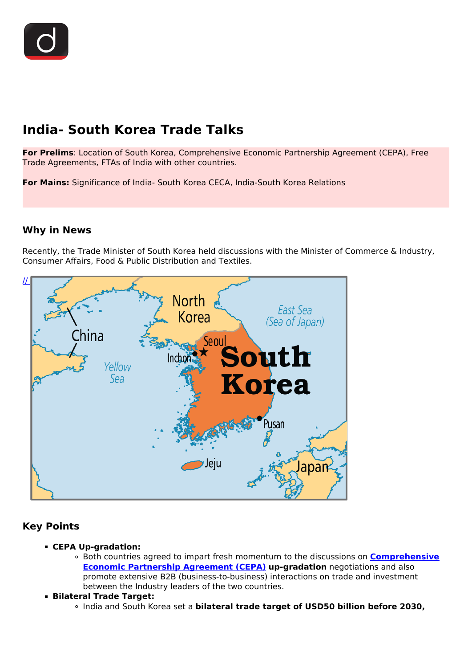# **India- South Korea Trade Talks**

**For Prelims**: Location of South Korea, Comprehensive Economic Partnership Agreement (CEPA), Free Trade Agreements, FTAs of India with other countries.

**For Mains:** Significance of India- South Korea CECA, India-South Korea Relations

#### **Why in News**

Recently, the Trade Minister of South Korea held discussions with the Minister of Commerce & Industry, Consumer Affairs, Food & Public Distribution and Textiles.



## **Key Points**

- **CEPA Up-gradation:**
	- Both countries agreed to impart fresh momentum to the discussions on **[Comprehensive](/daily-updates/daily-news-analysis/cepa-india-uae) [Economic Partnership Agreement \(CEPA\)](/daily-updates/daily-news-analysis/cepa-india-uae)** up-gradation negotiations and also promote extensive B2B (business-to-business) interactions on trade and investment between the Industry leaders of the two countries.
- **Bilateral Trade Target:**
	- India and South Korea set a **bilateral trade target of USD50 billion before 2030,**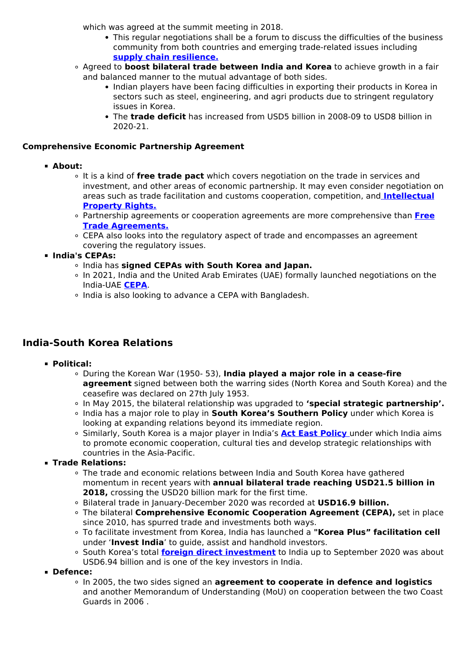which was agreed at the summit meeting in 2018.

- This regular negotiations shall be a forum to discuss the difficulties of the business community from both countries and emerging trade-related issues including **[supply chain resilience.](/daily-updates/daily-news-analysis/launch-of-supply-chain-resilience-initiative)**
- Agreed to **boost bilateral trade between India and Korea** to achieve growth in a fair and balanced manner to the mutual advantage of both sides.
	- Indian players have been facing difficulties in exporting their products in Korea in sectors such as steel, engineering, and agri products due to stringent regulatory issues in Korea.
	- The **trade deficit** has increased from USD5 billion in 2008-09 to USD8 billion in 2020-21.

#### **Comprehensive Economic Partnership Agreement**

- **About:**
	- It is a kind of **free trade pact** which covers negotiation on the trade in services and investment, and other areas of economic partnership. It may even consider negotiation on areas such as trade facilitation and customs cooperation, competition, and **[Intellectual](/to-the-points/paper3/intellectual-property-rights) [Property Rights.](/to-the-points/paper3/intellectual-property-rights)**
	- Partnership agreements or cooperation agreements are more comprehensive than **[Free](/daily-updates/daily-news-analysis/india-us-trade-issues-free-trade-agreement#:~:text=About%3A,prohibitions%20to%20inhibit%20their%20exchange.) [Trade Agreements.](/daily-updates/daily-news-analysis/india-us-trade-issues-free-trade-agreement#:~:text=About%3A,prohibitions%20to%20inhibit%20their%20exchange.)**
	- CEPA also looks into the regulatory aspect of trade and encompasses an agreement covering the regulatory issues.
- **India's CEPAs:**
	- India has **signed CEPAs with South Korea and Japan.**
	- In 2021, India and the United Arab Emirates (UAE) formally launched negotiations on the India-UAE **[CEPA](/daily-updates/daily-news-analysis/india-uae-meet-on-investments)**.
	- o India is also looking to advance a CEPA with Bangladesh.

## **India-South Korea Relations**

- **Political:**
	- During the Korean War (1950- 53), **India played a major role in a cease-fire agreement** signed between both the warring sides (North Korea and South Korea) and the ceasefire was declared on 27th July 1953.
	- In May 2015, the bilateral relationship was upgraded to **'special strategic partnership'.**
	- India has a major role to play in **South Korea's Southern Policy** under which Korea is looking at expanding relations beyond its immediate region.
	- Similarly, South Korea is a major player in India's **[Act East Policy](/daily-updates/daily-news-analysis/india-s-act-east-policy-1)** [u](/daily-updates/daily-news-analysis/india-s-act-east-policy-1)nder which India aims to promote economic cooperation, cultural ties and develop strategic relationships with countries in the Asia-Pacific.
- **Trade Relations:**
	- The trade and economic relations between India and South Korea have gathered momentum in recent years with **annual bilateral trade reaching USD21.5 billion in 2018,** crossing the USD20 billion mark for the first time.
	- Bilateral trade in January-December 2020 was recorded at **USD16.9 billion.**
	- The bilateral **Comprehensive Economic Cooperation Agreement (CEPA),** set in place since 2010, has spurred trade and investments both ways.
	- To facilitate investment from Korea, India has launched a **"Korea Plus" facilitation cell** under '**Invest India**' to guide, assist and handhold investors.
	- <sup>o</sup> South Korea's total *[foreign direct investment](/daily-updates/daily-news-analysis/fdi-inflow-touches-82-bn-in-fy21)* to India up to September 2020 was about USD6.94 billion and is one of the key investors in India.
- **Defence:**
	- In 2005, the two sides signed an **agreement to cooperate in defence and logistics** and another Memorandum of Understanding (MoU) on cooperation between the two Coast Guards in 2006 .